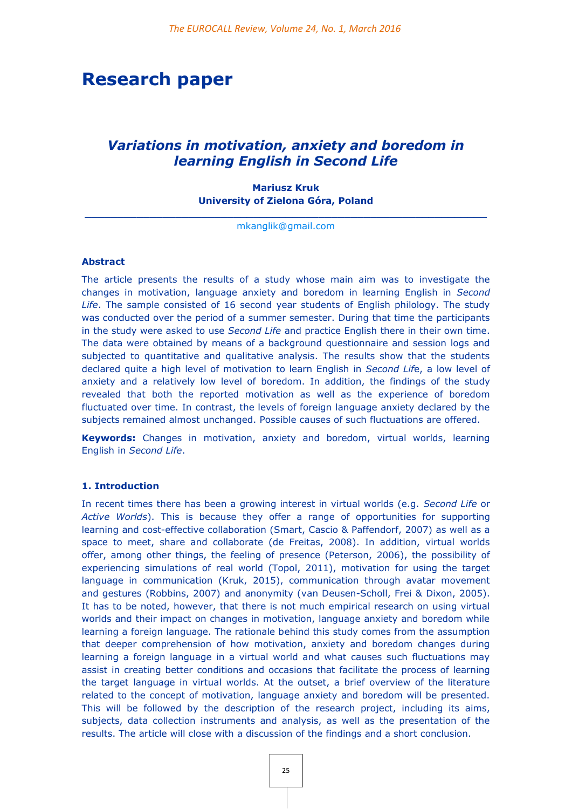# **Research paper**

# *Variations in motivation, anxiety and boredom in learning English in Second Life*

**Mariusz Kruk University of Zielona Góra, Poland**

**\_\_\_\_\_\_\_\_\_\_\_\_\_\_\_\_\_\_\_\_\_\_\_\_\_\_\_\_\_\_\_\_\_\_\_\_\_\_\_\_\_\_\_\_\_\_\_\_\_\_\_\_\_\_\_\_\_\_\_\_\_\_** [mkanglik@gmail.com](mailto:mkanglik@gmail.com)

#### **Abstract**

The article presents the results of a study whose main aim was to investigate the changes in motivation, language anxiety and boredom in learning English in *Second Life*. The sample consisted of 16 second year students of English philology. The study was conducted over the period of a summer semester. During that time the participants in the study were asked to use *Second Life* and practice English there in their own time. The data were obtained by means of a background questionnaire and session logs and subjected to quantitative and qualitative analysis. The results show that the students declared quite a high level of motivation to learn English in *Second Lif*e, a low level of anxiety and a relatively low level of boredom. In addition, the findings of the study revealed that both the reported motivation as well as the experience of boredom fluctuated over time. In contrast, the levels of foreign language anxiety declared by the subjects remained almost unchanged. Possible causes of such fluctuations are offered.

**Keywords:** Changes in motivation, anxiety and boredom, virtual worlds, learning English in *Second Life*.

#### **1. Introduction**

In recent times there has been a growing interest in virtual worlds (e.g. *Second Life* or *Active Worlds*). This is because they offer a range of opportunities for supporting learning and cost-effective collaboration (Smart, Cascio & Paffendorf, 2007) as well as a space to meet, share and collaborate (de Freitas, 2008). In addition, virtual worlds offer, among other things, the feeling of presence (Peterson, 2006), the possibility of experiencing simulations of real world (Topol, 2011), motivation for using the target language in communication (Kruk, 2015), communication through avatar movement and gestures (Robbins, 2007) and anonymity (van Deusen-Scholl, Frei & Dixon, 2005). It has to be noted, however, that there is not much empirical research on using virtual worlds and their impact on changes in motivation, language anxiety and boredom while learning a foreign language. The rationale behind this study comes from the assumption that deeper comprehension of how motivation, anxiety and boredom changes during learning a foreign language in a virtual world and what causes such fluctuations may assist in creating better conditions and occasions that facilitate the process of learning the target language in virtual worlds. At the outset, a brief overview of the literature related to the concept of motivation, language anxiety and boredom will be presented. This will be followed by the description of the research project, including its aims, subjects, data collection instruments and analysis, as well as the presentation of the results. The article will close with a discussion of the findings and a short conclusion.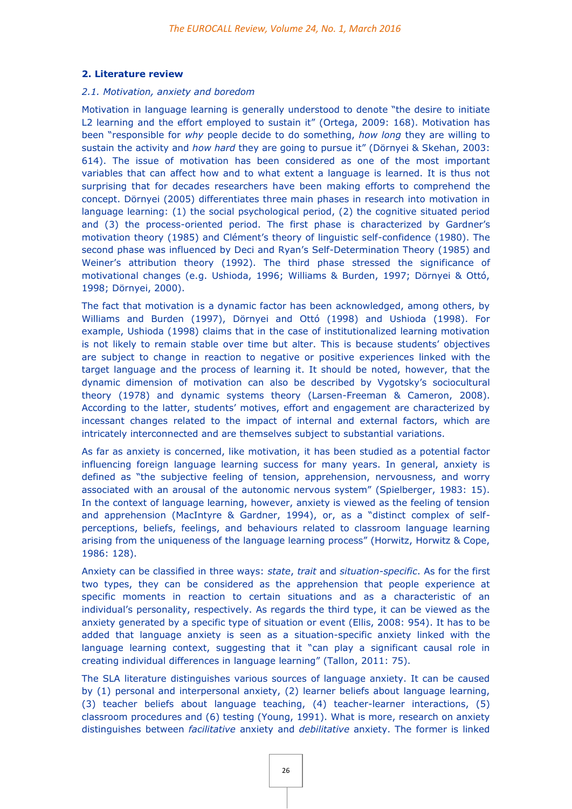# **2. Literature review**

#### *2.1. Motivation, anxiety and boredom*

Motivation in language learning is generally understood to denote "the desire to initiate L2 learning and the effort employed to sustain it" (Ortega, 2009: 168). Motivation has been "responsible for *why* people decide to do something, *how long* they are willing to sustain the activity and *how hard* they are going to pursue it" (Dörnyei & Skehan, 2003: 614). The issue of motivation has been considered as one of the most important variables that can affect how and to what extent a language is learned. It is thus not surprising that for decades researchers have been making efforts to comprehend the concept. Dörnyei (2005) differentiates three main phases in research into motivation in language learning: (1) the social psychological period, (2) the cognitive situated period and (3) the process-oriented period. The first phase is characterized by Gardner's motivation theory (1985) and Clément's theory of linguistic self-confidence (1980). The second phase was influenced by Deci and Ryan's Self-Determination Theory (1985) and Weiner's attribution theory (1992). The third phase stressed the significance of motivational changes (e.g. Ushioda, 1996; Williams & Burden, 1997; Dörnyei & Ottó, 1998; Dörnyei, 2000).

The fact that motivation is a dynamic factor has been acknowledged, among others, by Williams and Burden (1997), Dörnyei and Ottó (1998) and Ushioda (1998). For example, Ushioda (1998) claims that in the case of institutionalized learning motivation is not likely to remain stable over time but alter. This is because students' objectives are subject to change in reaction to negative or positive experiences linked with the target language and the process of learning it. It should be noted, however, that the dynamic dimension of motivation can also be described by Vygotsky's sociocultural theory (1978) and dynamic systems theory (Larsen-Freeman & Cameron, 2008). According to the latter, students' motives, effort and engagement are characterized by incessant changes related to the impact of internal and external factors, which are intricately interconnected and are themselves subject to substantial variations.

As far as anxiety is concerned, like motivation, it has been studied as a potential factor influencing foreign language learning success for many years. In general, anxiety is defined as "the subjective feeling of tension, apprehension, nervousness, and worry associated with an arousal of the autonomic nervous system" (Spielberger, 1983: 15). In the context of language learning, however, anxiety is viewed as the feeling of tension and apprehension (MacIntyre & Gardner, 1994), or, as a "distinct complex of selfperceptions, beliefs, feelings, and behaviours related to classroom language learning arising from the uniqueness of the language learning process" (Horwitz, Horwitz & Cope, 1986: 128).

Anxiety can be classified in three ways: *state*, *trait* and *situation-specific*. As for the first two types, they can be considered as the apprehension that people experience at specific moments in reaction to certain situations and as a characteristic of an individual's personality, respectively. As regards the third type, it can be viewed as the anxiety generated by a specific type of situation or event (Ellis, 2008: 954). It has to be added that language anxiety is seen as a situation-specific anxiety linked with the language learning context, suggesting that it "can play a significant causal role in creating individual differences in language learning" (Tallon, 2011: 75).

The SLA literature distinguishes various sources of language anxiety. It can be caused by (1) personal and interpersonal anxiety, (2) learner beliefs about language learning, (3) teacher beliefs about language teaching, (4) teacher-learner interactions, (5) classroom procedures and (6) testing (Young, 1991). What is more, research on anxiety distinguishes between *facilitative* anxiety and *debilitative* anxiety. The former is linked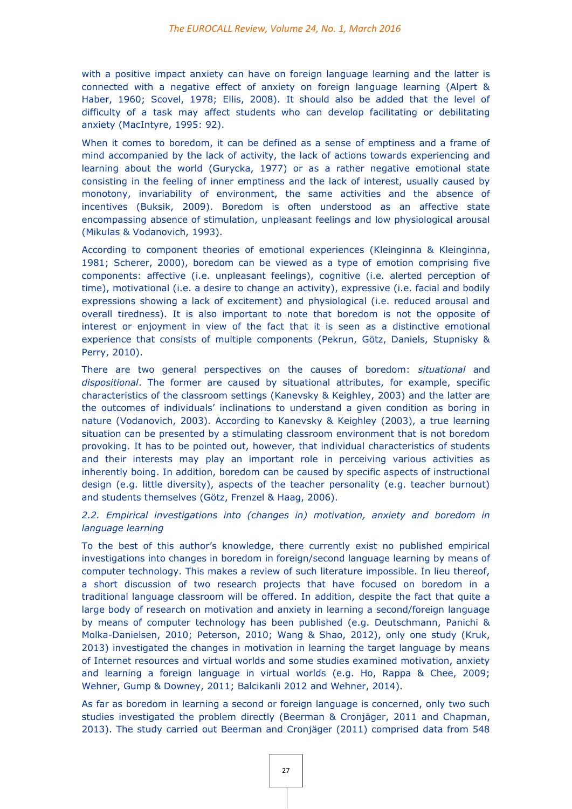with a positive impact anxiety can have on foreign language learning and the latter is connected with a negative effect of anxiety on foreign language learning (Alpert & Haber, 1960; Scovel, 1978; Ellis, 2008). It should also be added that the level of difficulty of a task may affect students who can develop facilitating or debilitating anxiety (MacIntyre, 1995: 92).

When it comes to boredom, it can be defined as a sense of emptiness and a frame of mind accompanied by the lack of activity, the lack of actions towards experiencing and learning about the world (Gurycka, 1977) or as a rather negative emotional state consisting in the feeling of inner emptiness and the lack of interest, usually caused by monotony, invariability of environment, the same activities and the absence of incentives (Buksik, 2009). Boredom is often understood as an affective state encompassing absence of stimulation, unpleasant feelings and low physiological arousal (Mikulas & Vodanovich, 1993).

According to component theories of emotional experiences (Kleinginna & Kleinginna, 1981; Scherer, 2000), boredom can be viewed as a type of emotion comprising five components: affective (i.e. unpleasant feelings), cognitive (i.e. alerted perception of time), motivational (i.e. a desire to change an activity), expressive (i.e. facial and bodily expressions showing a lack of excitement) and physiological (i.e. reduced arousal and overall tiredness). It is also important to note that boredom is not the opposite of interest or enjoyment in view of the fact that it is seen as a distinctive emotional experience that consists of multiple components (Pekrun, Götz, Daniels, Stupnisky & Perry, 2010).

There are two general perspectives on the causes of boredom: *situational* and *dispositional*. The former are caused by situational attributes, for example, specific characteristics of the classroom settings (Kanevsky & Keighley, 2003) and the latter are the outcomes of individuals' inclinations to understand a given condition as boring in nature (Vodanovich, 2003). According to Kanevsky & Keighley (2003), a true learning situation can be presented by a stimulating classroom environment that is not boredom provoking. It has to be pointed out, however, that individual characteristics of students and their interests may play an important role in perceiving various activities as inherently boing. In addition, boredom can be caused by specific aspects of instructional design (e.g. little diversity), aspects of the teacher personality (e.g. teacher burnout) and students themselves (Götz, Frenzel & Haag, 2006).

# *2.2. Empirical investigations into (changes in) motivation, anxiety and boredom in language learning*

To the best of this author's knowledge, there currently exist no published empirical investigations into changes in boredom in foreign/second language learning by means of computer technology. This makes a review of such literature impossible. In lieu thereof, a short discussion of two research projects that have focused on boredom in a traditional language classroom will be offered. In addition, despite the fact that quite a large body of research on motivation and anxiety in learning a second/foreign language by means of computer technology has been published (e.g. Deutschmann, Panichi & Molka-Danielsen, 2010; Peterson, 2010; Wang & Shao, 2012), only one study (Kruk, 2013) investigated the changes in motivation in learning the target language by means of Internet resources and virtual worlds and some studies examined motivation, anxiety and learning a foreign language in virtual worlds (e.g. Ho, Rappa & Chee, 2009; Wehner, Gump & Downey, 2011; Balcikanli 2012 and Wehner, 2014).

As far as boredom in learning a second or foreign language is concerned, only two such studies investigated the problem directly (Beerman & Cronjäger, 2011 and Chapman, 2013). The study carried out Beerman and Cronjäger (2011) comprised data from 548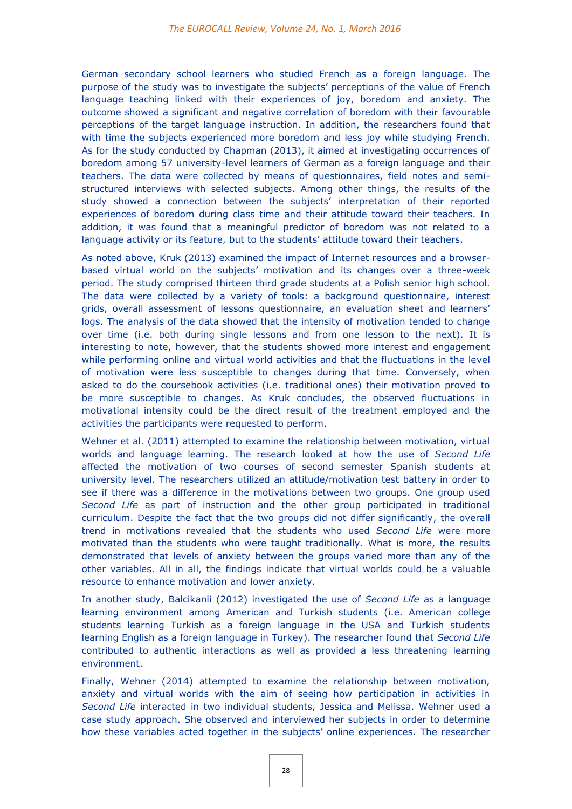German secondary school learners who studied French as a foreign language. The purpose of the study was to investigate the subjects' perceptions of the value of French language teaching linked with their experiences of joy, boredom and anxiety. The outcome showed a significant and negative correlation of boredom with their favourable perceptions of the target language instruction. In addition, the researchers found that with time the subjects experienced more boredom and less joy while studying French. As for the study conducted by Chapman (2013), it aimed at investigating occurrences of boredom among 57 university-level learners of German as a foreign language and their teachers. The data were collected by means of questionnaires, field notes and semistructured interviews with selected subjects. Among other things, the results of the study showed a connection between the subjects' interpretation of their reported experiences of boredom during class time and their attitude toward their teachers. In addition, it was found that a meaningful predictor of boredom was not related to a language activity or its feature, but to the students' attitude toward their teachers.

As noted above, Kruk (2013) examined the impact of Internet resources and a browserbased virtual world on the subjects' motivation and its changes over a three-week period. The study comprised thirteen third grade students at a Polish senior high school. The data were collected by a variety of tools: a background questionnaire, interest grids, overall assessment of lessons questionnaire, an evaluation sheet and learners' logs. The analysis of the data showed that the intensity of motivation tended to change over time (i.e. both during single lessons and from one lesson to the next). It is interesting to note, however, that the students showed more interest and engagement while performing online and virtual world activities and that the fluctuations in the level of motivation were less susceptible to changes during that time. Conversely, when asked to do the coursebook activities (i.e. traditional ones) their motivation proved to be more susceptible to changes. As Kruk concludes, the observed fluctuations in motivational intensity could be the direct result of the treatment employed and the activities the participants were requested to perform.

Wehner et al. (2011) attempted to examine the relationship between motivation, virtual worlds and language learning. The research looked at how the use of *Second Life* affected the motivation of two courses of second semester Spanish students at university level. The researchers utilized an attitude/motivation test battery in order to see if there was a difference in the motivations between two groups. One group used *Second Life* as part of instruction and the other group participated in traditional curriculum. Despite the fact that the two groups did not differ significantly, the overall trend in motivations revealed that the students who used *Second Life* were more motivated than the students who were taught traditionally. What is more, the results demonstrated that levels of anxiety between the groups varied more than any of the other variables. All in all, the findings indicate that virtual worlds could be a valuable resource to enhance motivation and lower anxiety.

In another study, Balcikanli (2012) investigated the use of *Second Life* as a language learning environment among American and Turkish students (i.e. American college students learning Turkish as a foreign language in the USA and Turkish students learning English as a foreign language in Turkey). The researcher found that *Second Life* contributed to authentic interactions as well as provided a less threatening learning environment.

Finally, Wehner (2014) attempted to examine the relationship between motivation, anxiety and virtual worlds with the aim of seeing how participation in activities in *Second Life* interacted in two individual students, Jessica and Melissa. Wehner used a case study approach. She observed and interviewed her subjects in order to determine how these variables acted together in the subjects' online experiences. The researcher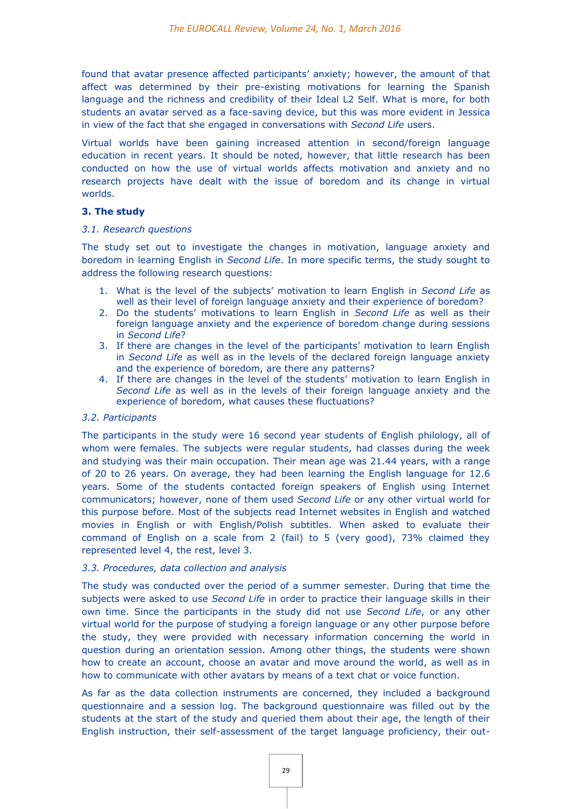found that avatar presence affected participants' anxiety; however, the amount of that affect was determined by their pre-existing motivations for learning the Spanish language and the richness and credibility of their Ideal L2 Self. What is more, for both students an avatar served as a face-saving device, but this was more evident in Jessica in view of the fact that she engaged in conversations with *Second Life* users.

Virtual worlds have been gaining increased attention in second/foreign language education in recent years. It should be noted, however, that little research has been conducted on how the use of virtual worlds affects motivation and anxiety and no research projects have dealt with the issue of boredom and its change in virtual worlds.

## **3. The study**

#### *3.1. Research questions*

The study set out to investigate the changes in motivation, language anxiety and boredom in learning English in *Second Life*. In more specific terms, the study sought to address the following research questions:

- 1. What is the level of the subjects' motivation to learn English in *Second Life* as well as their level of foreign language anxiety and their experience of boredom?
- 2. Do the students' motivations to learn English in *Second Life* as well as their foreign language anxiety and the experience of boredom change during sessions in *Second Life*?
- 3. If there are changes in the level of the participants' motivation to learn English in *Second Life* as well as in the levels of the declared foreign language anxiety and the experience of boredom, are there any patterns?
- 4. If there are changes in the level of the students' motivation to learn English in *Second Life* as well as in the levels of their foreign language anxiety and the experience of boredom, what causes these fluctuations?

# *3.2. Participants*

The participants in the study were 16 second year students of English philology, all of whom were females. The subjects were regular students, had classes during the week and studying was their main occupation. Their mean age was 21.44 years, with a range of 20 to 26 years. On average, they had been learning the English language for 12.6 years. Some of the students contacted foreign speakers of English using Internet communicators; however, none of them used *Second Life* or any other virtual world for this purpose before. Most of the subjects read Internet websites in English and watched movies in English or with English/Polish subtitles. When asked to evaluate their command of English on a scale from 2 (fail) to 5 (very good), 73% claimed they represented level 4, the rest, level 3.

#### *3.3. Procedures, data collection and analysis*

The study was conducted over the period of a summer semester. During that time the subjects were asked to use *Second Life* in order to practice their language skills in their own time. Since the participants in the study did not use *Second Life*, or any other virtual world for the purpose of studying a foreign language or any other purpose before the study, they were provided with necessary information concerning the world in question during an orientation session. Among other things, the students were shown how to create an account, choose an avatar and move around the world, as well as in how to communicate with other avatars by means of a text chat or voice function.

As far as the data collection instruments are concerned, they included a background questionnaire and a session log. The background questionnaire was filled out by the students at the start of the study and queried them about their age, the length of their English instruction, their self-assessment of the target language proficiency, their out-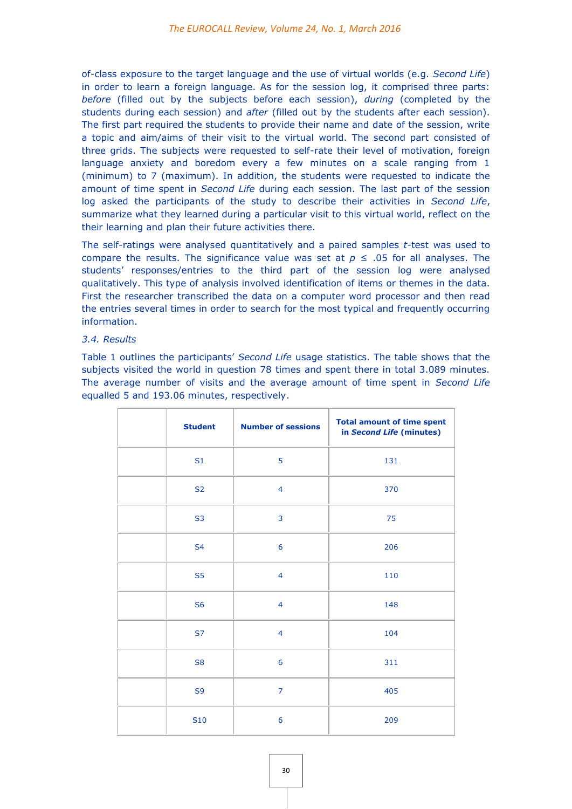of-class exposure to the target language and the use of virtual worlds (e.g. *Second Life*) in order to learn a foreign language. As for the session log, it comprised three parts: *before* (filled out by the subjects before each session), *during* (completed by the students during each session) and *after* (filled out by the students after each session). The first part required the students to provide their name and date of the session, write a topic and aim/aims of their visit to the virtual world. The second part consisted of three grids. The subjects were requested to self-rate their level of motivation, foreign language anxiety and boredom every a few minutes on a scale ranging from 1 (minimum) to 7 (maximum). In addition, the students were requested to indicate the amount of time spent in *Second Life* during each session. The last part of the session log asked the participants of the study to describe their activities in *Second Life*, summarize what they learned during a particular visit to this virtual world, reflect on the their learning and plan their future activities there.

The self-ratings were analysed quantitatively and a paired samples *t*-test was used to compare the results. The significance value was set at  $p \leq .05$  for all analyses. The students' responses/entries to the third part of the session log were analysed qualitatively. This type of analysis involved identification of items or themes in the data. First the researcher transcribed the data on a computer word processor and then read the entries several times in order to search for the most typical and frequently occurring information.

## *3.4. Results*

Table 1 outlines the participants' *Second Life* usage statistics. The table shows that the subjects visited the world in question 78 times and spent there in total 3.089 minutes. The average number of visits and the average amount of time spent in *Second Life* equalled 5 and 193.06 minutes, respectively.

| <b>Student</b>  | <b>Number of sessions</b> | <b>Total amount of time spent</b><br>in Second Life (minutes) |
|-----------------|---------------------------|---------------------------------------------------------------|
| S <sub>1</sub>  | 5                         | 131                                                           |
| S <sub>2</sub>  | $\overline{4}$            | 370                                                           |
| S <sub>3</sub>  | 3                         | 75                                                            |
| <b>S4</b>       | 6                         | 206                                                           |
| S <sub>5</sub>  | $\overline{4}$            | 110                                                           |
| S <sub>6</sub>  | $\overline{4}$            | 148                                                           |
| S7              | $\overline{4}$            | 104                                                           |
| S <sub>8</sub>  | 6                         | 311                                                           |
| S <sub>9</sub>  | $\overline{7}$            | 405                                                           |
| S <sub>10</sub> | 6                         | 209                                                           |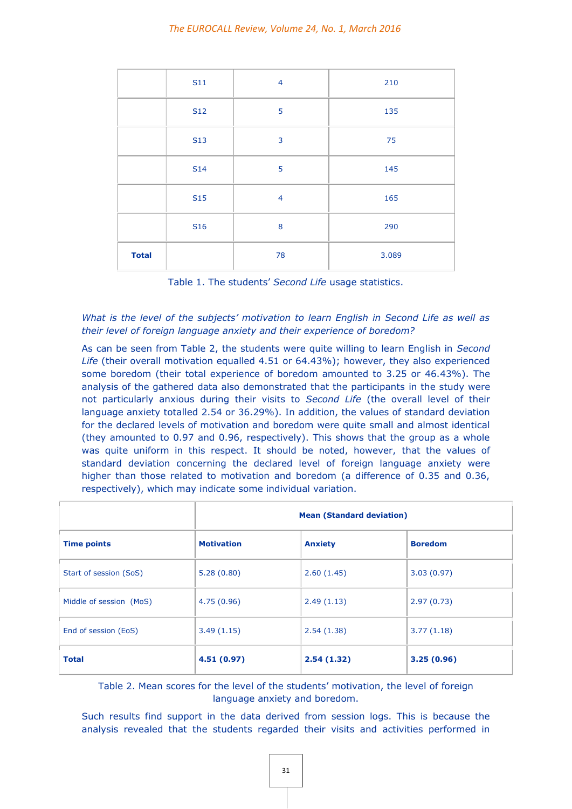|              | <b>S11</b> | $\overline{4}$ | 210   |
|--------------|------------|----------------|-------|
|              | <b>S12</b> | 5              | 135   |
|              | <b>S13</b> | 3              | 75    |
|              | <b>S14</b> | 5              | 145   |
|              | <b>S15</b> | $\overline{4}$ | 165   |
|              | <b>S16</b> | 8              | 290   |
| <b>Total</b> |            | 78             | 3.089 |

Table 1. The students' *Second Life* usage statistics.

# *What is the level of the subjects' motivation to learn English in Second Life as well as their level of foreign language anxiety and their experience of boredom?*

As can be seen from Table 2, the students were quite willing to learn English in *Second Life* (their overall motivation equalled 4.51 or 64.43%); however, they also experienced some boredom (their total experience of boredom amounted to 3.25 or 46.43%). The analysis of the gathered data also demonstrated that the participants in the study were not particularly anxious during their visits to *Second Life* (the overall level of their language anxiety totalled 2.54 or 36.29%). In addition, the values of standard deviation for the declared levels of motivation and boredom were quite small and almost identical (they amounted to 0.97 and 0.96, respectively). This shows that the group as a whole was quite uniform in this respect. It should be noted, however, that the values of standard deviation concerning the declared level of foreign language anxiety were higher than those related to motivation and boredom (a difference of 0.35 and 0.36, respectively), which may indicate some individual variation.

|                         | <b>Mean (Standard deviation)</b> |                |                |
|-------------------------|----------------------------------|----------------|----------------|
| <b>Time points</b>      | <b>Motivation</b>                | <b>Anxiety</b> | <b>Boredom</b> |
| Start of session (SoS)  | 5.28(0.80)                       | 2.60(1.45)     | 3.03(0.97)     |
| Middle of session (MoS) | 4.75(0.96)                       | 2.49(1.13)     | 2.97(0.73)     |
| End of session (EoS)    | 3.49(1.15)                       | 2.54(1.38)     | 3.77(1.18)     |
| <b>Total</b>            | 4.51(0.97)                       | 2.54(1.32)     | 3.25(0.96)     |

Table 2. Mean scores for the level of the students' motivation, the level of foreign language anxiety and boredom.

Such results find support in the data derived from session logs. This is because the analysis revealed that the students regarded their visits and activities performed in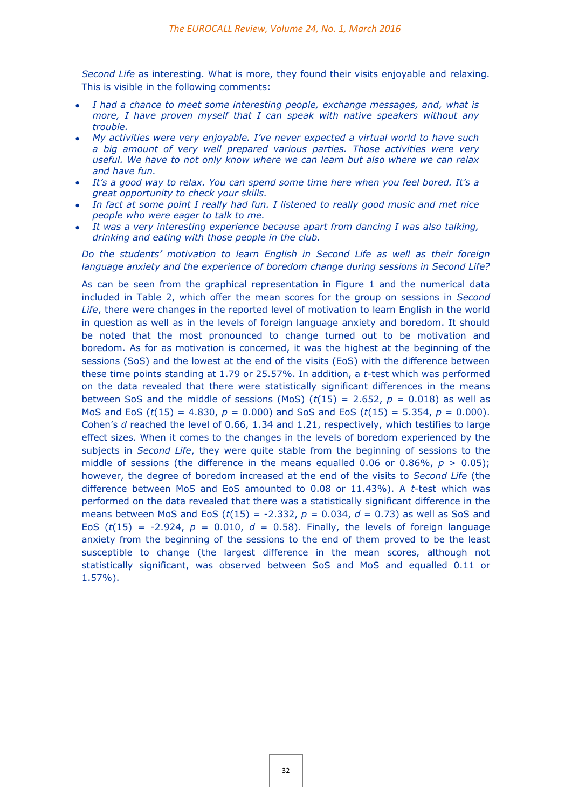*Second Life* as interesting. What is more, they found their visits enjoyable and relaxing. This is visible in the following comments:

- *I had a chance to meet some interesting people, exchange messages, and, what is more, I have proven myself that I can speak with native speakers without any trouble.*
- *My activities were very enjoyable. I've never expected a virtual world to have such a big amount of very well prepared various parties. Those activities were very useful. We have to not only know where we can learn but also where we can relax and have fun.*
- *It's a good way to relax. You can spend some time here when you feel bored. It's a great opportunity to check your skills.*
- *In fact at some point I really had fun. I listened to really good music and met nice people who were eager to talk to me.*
- *It was a very interesting experience because apart from dancing I was also talking, drinking and eating with those people in the club.*

*Do the students' motivation to learn English in Second Life as well as their foreign language anxiety and the experience of boredom change during sessions in Second Life?*

As can be seen from the graphical representation in Figure 1 and the numerical data included in Table 2, which offer the mean scores for the group on sessions in *Second Life*, there were changes in the reported level of motivation to learn English in the world in question as well as in the levels of foreign language anxiety and boredom. It should be noted that the most pronounced to change turned out to be motivation and boredom. As for as motivation is concerned, it was the highest at the beginning of the sessions (SoS) and the lowest at the end of the visits (EoS) with the difference between these time points standing at 1.79 or 25.57%. In addition, a *t*-test which was performed on the data revealed that there were statistically significant differences in the means between SoS and the middle of sessions (MoS)  $(t(15) = 2.652, p = 0.018)$  as well as MoS and EoS ( $t(15) = 4.830$ ,  $p = 0.000$ ) and SoS and EoS ( $t(15) = 5.354$ ,  $p = 0.000$ ). Cohen's *d* reached the level of 0.66, 1.34 and 1.21, respectively, which testifies to large effect sizes. When it comes to the changes in the levels of boredom experienced by the subjects in *Second Life*, they were quite stable from the beginning of sessions to the middle of sessions (the difference in the means equalled 0.06 or 0.86%,  $p > 0.05$ ); however, the degree of boredom increased at the end of the visits to *Second Life* (the difference between MoS and EoS amounted to 0.08 or 11.43%). A *t*-test which was performed on the data revealed that there was a statistically significant difference in the means between MoS and EoS (*t*(15) = -2.332, *p* = 0.034, *d* = 0.73) as well as SoS and EoS ( $t(15) = -2.924$ ,  $p = 0.010$ ,  $d = 0.58$ ). Finally, the levels of foreign language anxiety from the beginning of the sessions to the end of them proved to be the least susceptible to change (the largest difference in the mean scores, although not statistically significant, was observed between SoS and MoS and equalled 0.11 or 1.57%).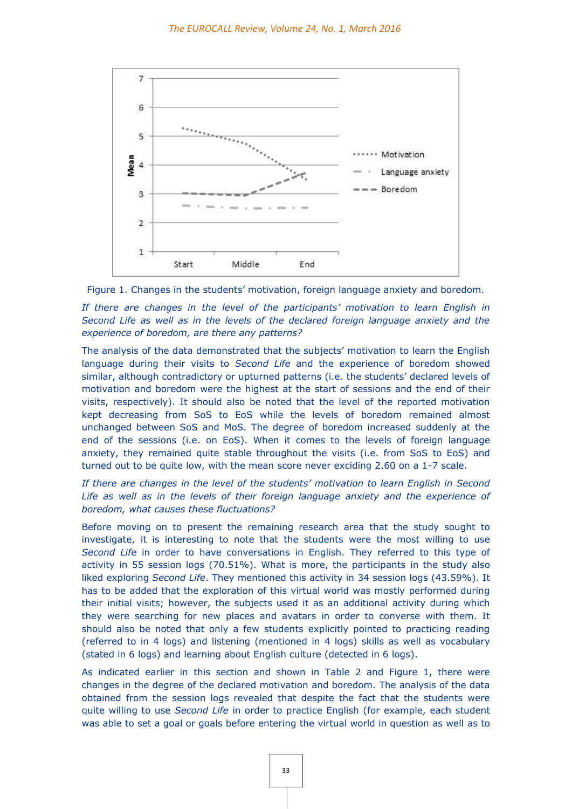

Figure 1. Changes in the students' motivation, foreign language anxiety and boredom.

*If there are changes in the level of the participants' motivation to learn English in Second Life as well as in the levels of the declared foreign language anxiety and the experience of boredom, are there any patterns?*

The analysis of the data demonstrated that the subjects' motivation to learn the English language during their visits to *Second Life* and the experience of boredom showed similar, although contradictory or upturned patterns (i.e. the students' declared levels of motivation and boredom were the highest at the start of sessions and the end of their visits, respectively). It should also be noted that the level of the reported motivation kept decreasing from SoS to EoS while the levels of boredom remained almost unchanged between SoS and MoS. The degree of boredom increased suddenly at the end of the sessions (i.e. on EoS). When it comes to the levels of foreign language anxiety, they remained quite stable throughout the visits (i.e. from SoS to EoS) and turned out to be quite low, with the mean score never exciding 2.60 on a 1-7 scale.

*If there are changes in the level of the students' motivation to learn English in Second*  Life as well as in the levels of their foreign language anxiety and the experience of *boredom, what causes these fluctuations?*

Before moving on to present the remaining research area that the study sought to investigate, it is interesting to note that the students were the most willing to use *Second Life* in order to have conversations in English. They referred to this type of activity in 55 session logs (70.51%). What is more, the participants in the study also liked exploring *Second Life*. They mentioned this activity in 34 session logs (43.59%). It has to be added that the exploration of this virtual world was mostly performed during their initial visits; however, the subjects used it as an additional activity during which they were searching for new places and avatars in order to converse with them. It should also be noted that only a few students explicitly pointed to practicing reading (referred to in 4 logs) and listening (mentioned in 4 logs) skills as well as vocabulary (stated in 6 logs) and learning about English culture (detected in 6 logs).

As indicated earlier in this section and shown in Table 2 and Figure 1, there were changes in the degree of the declared motivation and boredom. The analysis of the data obtained from the session logs revealed that despite the fact that the students were quite willing to use *Second Life* in order to practice English (for example, each student was able to set a goal or goals before entering the virtual world in question as well as to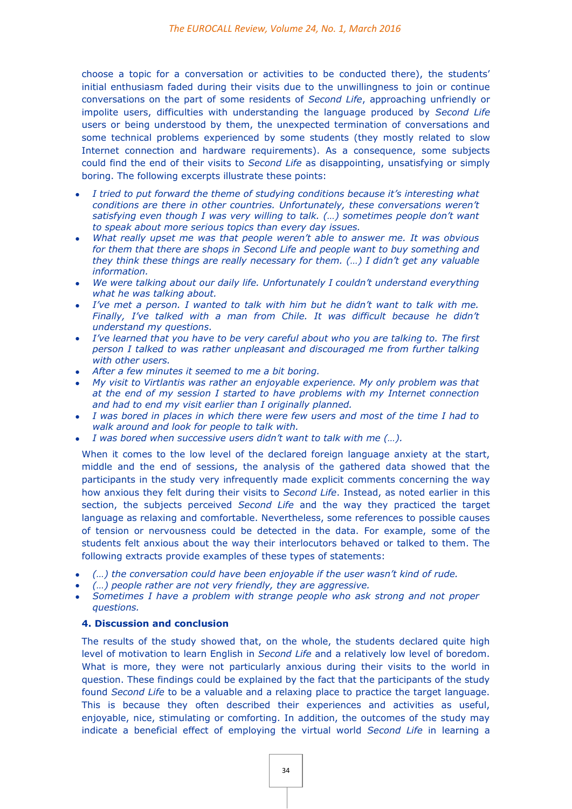choose a topic for a conversation or activities to be conducted there), the students' initial enthusiasm faded during their visits due to the unwillingness to join or continue conversations on the part of some residents of *Second Life*, approaching unfriendly or impolite users, difficulties with understanding the language produced by *Second Life* users or being understood by them, the unexpected termination of conversations and some technical problems experienced by some students (they mostly related to slow Internet connection and hardware requirements). As a consequence, some subjects could find the end of their visits to *Second Life* as disappointing, unsatisfying or simply boring. The following excerpts illustrate these points:

- *I tried to put forward the theme of studying conditions because it's interesting what conditions are there in other countries. Unfortunately, these conversations weren't satisfying even though I was very willing to talk. (…) sometimes people don't want to speak about more serious topics than every day issues.*
- *What really upset me was that people weren't able to answer me. It was obvious for them that there are shops in Second Life and people want to buy something and they think these things are really necessary for them. (…) I didn't get any valuable information.*
- *We were talking about our daily life. Unfortunately I couldn't understand everything what he was talking about.*
- *I've met a person. I wanted to talk with him but he didn't want to talk with me. Finally, I've talked with a man from Chile. It was difficult because he didn't understand my questions.*
- *I've learned that you have to be very careful about who you are talking to. The first person I talked to was rather unpleasant and discouraged me from further talking with other users.*
- *After a few minutes it seemed to me a bit boring.*
- *My visit to Virtlantis was rather an enjoyable experience. My only problem was that at the end of my session I started to have problems with my Internet connection and had to end my visit earlier than I originally planned.*
- *I was bored in places in which there were few users and most of the time I had to walk around and look for people to talk with.*
- *I was bored when successive users didn't want to talk with me (…).*

When it comes to the low level of the declared foreign language anxiety at the start, middle and the end of sessions, the analysis of the gathered data showed that the participants in the study very infrequently made explicit comments concerning the way how anxious they felt during their visits to *Second Life*. Instead, as noted earlier in this section, the subjects perceived *Second Life* and the way they practiced the target language as relaxing and comfortable. Nevertheless, some references to possible causes of tension or nervousness could be detected in the data. For example, some of the students felt anxious about the way their interlocutors behaved or talked to them. The following extracts provide examples of these types of statements:

- *(…) the conversation could have been enjoyable if the user wasn't kind of rude.*
- *(…) people rather are not very friendly, they are aggressive.*
- *Sometimes I have a problem with strange people who ask strong and not proper questions.*

#### **4. Discussion and conclusion**

The results of the study showed that, on the whole, the students declared quite high level of motivation to learn English in *Second Life* and a relatively low level of boredom. What is more, they were not particularly anxious during their visits to the world in question. These findings could be explained by the fact that the participants of the study found *Second Life* to be a valuable and a relaxing place to practice the target language. This is because they often described their experiences and activities as useful, enjoyable, nice, stimulating or comforting. In addition, the outcomes of the study may indicate a beneficial effect of employing the virtual world *Second Life* in learning a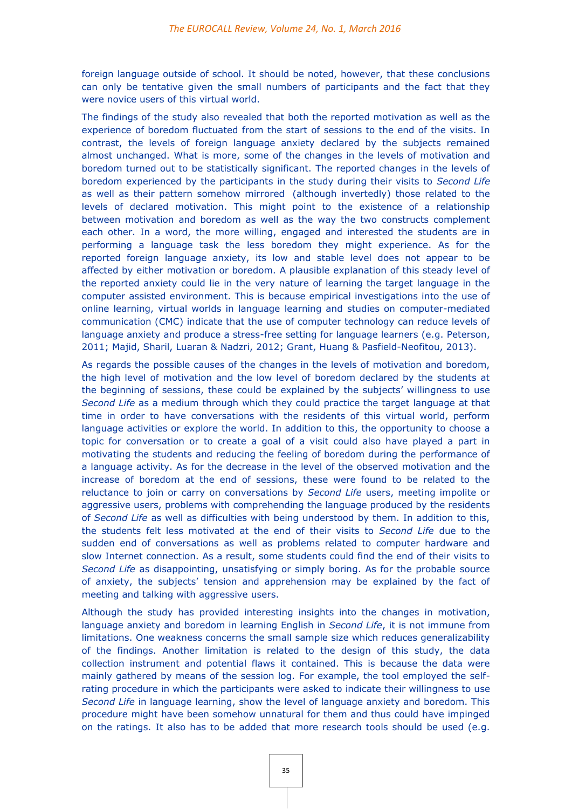foreign language outside of school. It should be noted, however, that these conclusions can only be tentative given the small numbers of participants and the fact that they were novice users of this virtual world.

The findings of the study also revealed that both the reported motivation as well as the experience of boredom fluctuated from the start of sessions to the end of the visits. In contrast, the levels of foreign language anxiety declared by the subjects remained almost unchanged. What is more, some of the changes in the levels of motivation and boredom turned out to be statistically significant. The reported changes in the levels of boredom experienced by the participants in the study during their visits to *Second Life* as well as their pattern somehow mirrored (although invertedly) those related to the levels of declared motivation. This might point to the existence of a relationship between motivation and boredom as well as the way the two constructs complement each other. In a word, the more willing, engaged and interested the students are in performing a language task the less boredom they might experience. As for the reported foreign language anxiety, its low and stable level does not appear to be affected by either motivation or boredom. A plausible explanation of this steady level of the reported anxiety could lie in the very nature of learning the target language in the computer assisted environment. This is because empirical investigations into the use of online learning, virtual worlds in language learning and studies on computer-mediated communication (CMC) indicate that the use of computer technology can reduce levels of language anxiety and produce a stress-free setting for language learners (e.g. Peterson, 2011; Majid, Sharil, Luaran & Nadzri, 2012; Grant, Huang & Pasfield-Neofitou, 2013).

As regards the possible causes of the changes in the levels of motivation and boredom, the high level of motivation and the low level of boredom declared by the students at the beginning of sessions, these could be explained by the subjects' willingness to use *Second Life* as a medium through which they could practice the target language at that time in order to have conversations with the residents of this virtual world, perform language activities or explore the world. In addition to this, the opportunity to choose a topic for conversation or to create a goal of a visit could also have played a part in motivating the students and reducing the feeling of boredom during the performance of a language activity. As for the decrease in the level of the observed motivation and the increase of boredom at the end of sessions, these were found to be related to the reluctance to join or carry on conversations by *Second Life* users, meeting impolite or aggressive users, problems with comprehending the language produced by the residents of *Second Life* as well as difficulties with being understood by them. In addition to this, the students felt less motivated at the end of their visits to *Second Life* due to the sudden end of conversations as well as problems related to computer hardware and slow Internet connection. As a result, some students could find the end of their visits to *Second Life* as disappointing, unsatisfying or simply boring. As for the probable source of anxiety, the subjects' tension and apprehension may be explained by the fact of meeting and talking with aggressive users.

Although the study has provided interesting insights into the changes in motivation, language anxiety and boredom in learning English in *Second Life*, it is not immune from limitations. One weakness concerns the small sample size which reduces generalizability of the findings. Another limitation is related to the design of this study, the data collection instrument and potential flaws it contained. This is because the data were mainly gathered by means of the session log. For example, the tool employed the selfrating procedure in which the participants were asked to indicate their willingness to use *Second Life* in language learning, show the level of language anxiety and boredom. This procedure might have been somehow unnatural for them and thus could have impinged on the ratings. It also has to be added that more research tools should be used (e.g.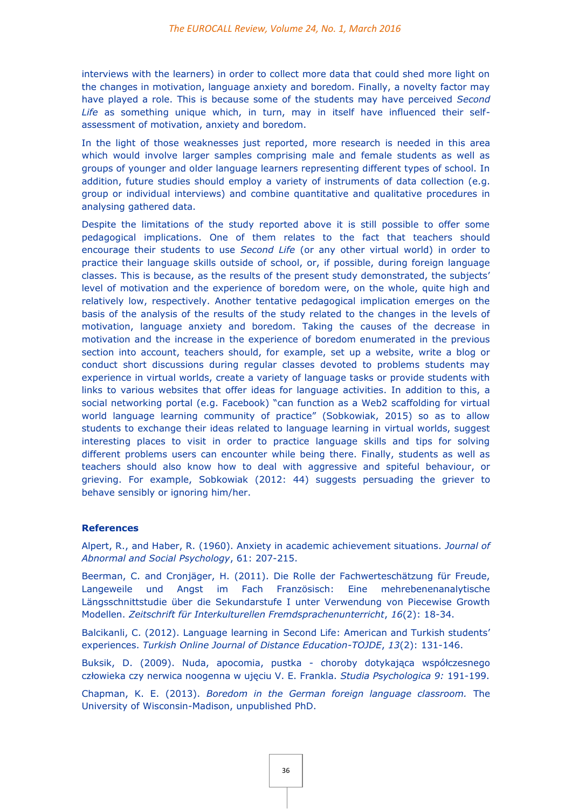interviews with the learners) in order to collect more data that could shed more light on the changes in motivation, language anxiety and boredom. Finally, a novelty factor may have played a role. This is because some of the students may have perceived *Second Life* as something unique which, in turn, may in itself have influenced their selfassessment of motivation, anxiety and boredom.

In the light of those weaknesses just reported, more research is needed in this area which would involve larger samples comprising male and female students as well as groups of younger and older language learners representing different types of school. In addition, future studies should employ a variety of instruments of data collection (e.g. group or individual interviews) and combine quantitative and qualitative procedures in analysing gathered data.

Despite the limitations of the study reported above it is still possible to offer some pedagogical implications. One of them relates to the fact that teachers should encourage their students to use *Second Life* (or any other virtual world) in order to practice their language skills outside of school, or, if possible, during foreign language classes. This is because, as the results of the present study demonstrated, the subjects' level of motivation and the experience of boredom were, on the whole, quite high and relatively low, respectively. Another tentative pedagogical implication emerges on the basis of the analysis of the results of the study related to the changes in the levels of motivation, language anxiety and boredom. Taking the causes of the decrease in motivation and the increase in the experience of boredom enumerated in the previous section into account, teachers should, for example, set up a website, write a blog or conduct short discussions during regular classes devoted to problems students may experience in virtual worlds, create a variety of language tasks or provide students with links to various websites that offer ideas for language activities. In addition to this, a social networking portal (e.g. Facebook) "can function as a Web2 scaffolding for virtual world language learning community of practice" (Sobkowiak, 2015) so as to allow students to exchange their ideas related to language learning in virtual worlds, suggest interesting places to visit in order to practice language skills and tips for solving different problems users can encounter while being there. Finally, students as well as teachers should also know how to deal with aggressive and spiteful behaviour, or grieving. For example, Sobkowiak (2012: 44) suggests persuading the griever to behave sensibly or ignoring him/her.

#### **References**

Alpert, R., and Haber, R. (1960). Anxiety in academic achievement situations. *Journal of Abnormal and Social Psychology*, 61: 207-215.

Beerman, C. and Cronjäger, H. (2011). Die Rolle der Fachwerteschätzung für Freude, Langeweile und Angst im Fach Französisch: Eine mehrebenenanalytische Längsschnittstudie über die Sekundarstufe I unter Verwendung von Piecewise Growth Modellen. *Zeitschrift für Interkulturellen Fremdsprachenunterricht*, *16*(2): 18-34.

Balcikanli, C. (2012). Language learning in Second Life: American and Turkish students' experiences. *Turkish Online Journal of Distance Education-TOJDE*, *13*(2): 131-146.

Buksik, D. (2009). Nuda, apocomia, pustka - choroby dotykająca współczesnego człowieka czy nerwica noogenna w ujęciu V. E. Frankla. *Studia Psychologica 9:* 191-199.

Chapman, K. E. (2013). *Boredom in the German foreign language classroom.* The University of Wisconsin-Madison, unpublished PhD.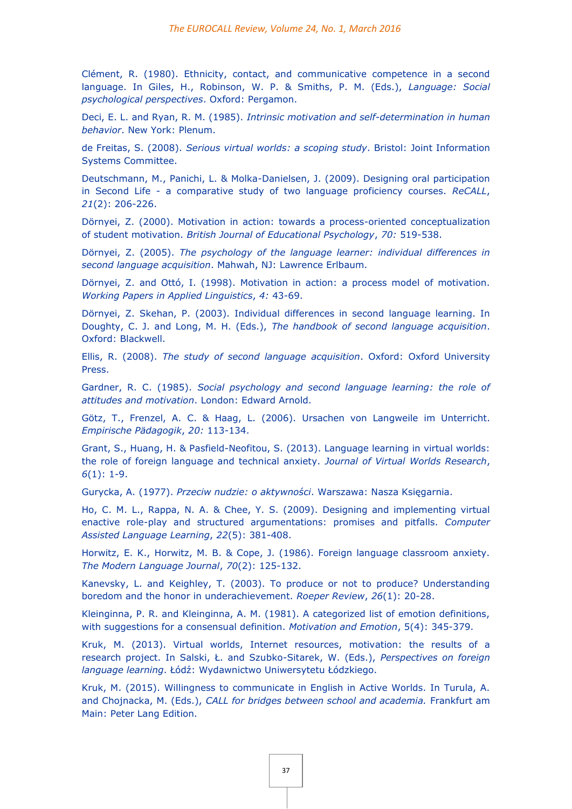Clément, R. (1980). Ethnicity, contact, and communicative competence in a second language. In Giles, H., Robinson, W. P. & Smiths, P. M. (Eds.), *Language: Social psychological perspectives*. Oxford: Pergamon.

Deci, E. L. and Ryan, R. M. (1985). *Intrinsic motivation and self-determination in human behavior*. New York: Plenum.

de Freitas, S. (2008). *Serious virtual worlds: a scoping study*. Bristol: Joint Information Systems Committee.

Deutschmann, M., Panichi, L. & Molka-Danielsen, J. (2009). Designing oral participation in Second Life - a comparative study of two language proficiency courses. *ReCALL*, *21*(2): 206-226.

Dörnyei, Z. (2000). Motivation in action: towards a process-oriented conceptualization of student motivation. *British Journal of Educational Psychology*, *70:* 519-538.

Dörnyei, Z. (2005). *The psychology of the language learner: individual differences in second language acquisition*. Mahwah, NJ: Lawrence Erlbaum.

Dörnyei, Z. and Ottó, I. (1998). Motivation in action: a process model of motivation. *Working Papers in Applied Linguistics*, *4:* 43-69.

Dörnyei, Z. Skehan, P. (2003). Individual differences in second language learning. In Doughty, C. J. and Long, M. H. (Eds.), *The handbook of second language acquisition*. Oxford: Blackwell.

Ellis, R. (2008). *The study of second language acquisition*. Oxford: Oxford University Press.

Gardner, R. C. (1985). *Social psychology and second language learning: the role of attitudes and motivation*. London: Edward Arnold.

Götz, T., Frenzel, A. C. & Haag, L. (2006). Ursachen von Langweile im Unterricht. *Empirische Pädagogik*, *20:* 113-134.

Grant, S., Huang, H. & Pasfield-Neofitou, S. (2013). Language learning in virtual worlds: the role of foreign language and technical anxiety. *Journal of Virtual Worlds Research*, *6*(1): 1-9.

Gurycka, A. (1977). *Przeciw nudzie: o aktywności*. Warszawa: Nasza Księgarnia.

Ho, C. M. L., Rappa, N. A. & Chee, Y. S. (2009). Designing and implementing virtual enactive role-play and structured argumentations: promises and pitfalls. *Computer Assisted Language Learning*, *22*(5): 381-408.

Horwitz, E. K., Horwitz, M. B. & Cope, J. (1986). Foreign language classroom anxiety. *The Modern Language Journal*, *70*(2): 125-132.

Kanevsky, L. and Keighley, T. (2003). To produce or not to produce? Understanding boredom and the honor in underachievement. *Roeper Review*, *26*(1): 20-28.

Kleinginna, P. R. and Kleinginna, A. M. (1981). A categorized list of emotion definitions, with suggestions for a consensual definition. *Motivation and Emotion*, 5(4): 345-379.

Kruk, M. (2013). Virtual worlds, Internet resources, motivation: the results of a research project. In Salski, Ł. and Szubko-Sitarek, W. (Eds.), *Perspectives on foreign language learning*. Łódź: Wydawnictwo Uniwersytetu Łódzkiego.

Kruk, M. (2015). Willingness to communicate in English in Active Worlds. In Turula, A. and Chojnacka, M. (Eds.), *CALL for bridges between school and academia.* Frankfurt am Main: Peter Lang Edition.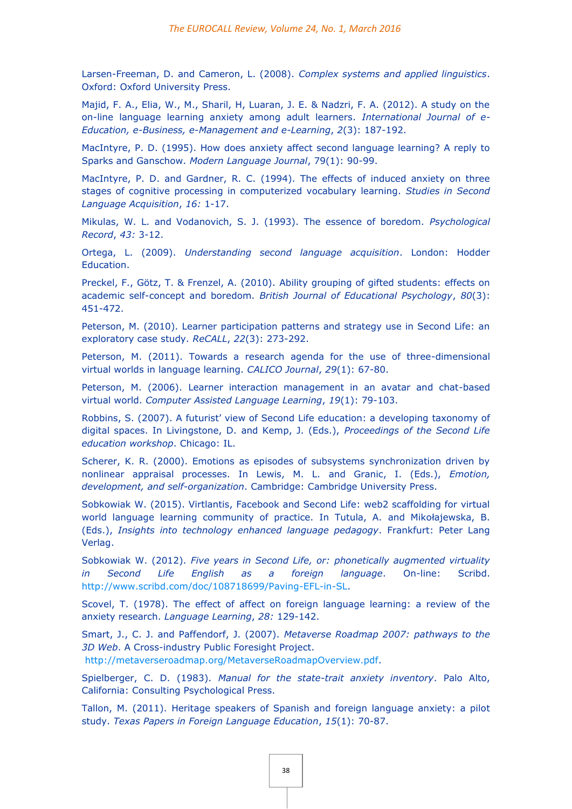Larsen-Freeman, D. and Cameron, L. (2008). *Complex systems and applied linguistics*. Oxford: Oxford University Press.

Majid, F. A., Elia, W., M., Sharil, H, Luaran, J. E. & Nadzri, F. A. (2012). A study on the on-line language learning anxiety among adult learners. *International Journal of e-Education, e-Business, e-Management and e-Learning*, *2*(3): 187-192.

MacIntyre, P. D. (1995). How does anxiety affect second language learning? A reply to Sparks and Ganschow. *Modern Language Journal*, 79(1): 90-99.

MacIntyre, P. D. and Gardner, R. C. (1994). The effects of induced anxiety on three stages of cognitive processing in computerized vocabulary learning. *Studies in Second Language Acquisition*, *16:* 1-17.

Mikulas, W. L. and Vodanovich, S. J. (1993). The essence of boredom. *Psychological Record*, *43:* 3-12.

Ortega, L. (2009). *Understanding second language acquisition*. London: Hodder Education.

Preckel, F., Götz, T. & Frenzel, A. (2010). Ability grouping of gifted students: effects on academic self-concept and boredom. *British Journal of Educational Psychology*, *80*(3): 451-472.

Peterson, M. (2010). Learner participation patterns and strategy use in Second Life: an exploratory case study. *ReCALL*, *22*(3): 273-292.

Peterson, M. (2011). Towards a research agenda for the use of three-dimensional virtual worlds in language learning. *CALICO Journal*, *29*(1): 67-80.

Peterson, M. (2006). Learner interaction management in an avatar and chat-based virtual world. *Computer Assisted Language Learning*, *19*(1): 79-103.

Robbins, S. (2007). A futurist' view of Second Life education: a developing taxonomy of digital spaces. In Livingstone, D. and Kemp, J. (Eds.), *Proceedings of the Second Life education workshop*. Chicago: IL.

Scherer, K. R. (2000). Emotions as episodes of subsystems synchronization driven by nonlinear appraisal processes. In Lewis, M. L. and Granic, I. (Eds.), *Emotion, development, and self-organization*. Cambridge: Cambridge University Press.

Sobkowiak W. (2015). Virtlantis, Facebook and Second Life: web2 scaffolding for virtual world language learning community of practice. In Tutula, A. and Mikołajewska, B. (Eds.), *Insights into technology enhanced language pedagogy*. Frankfurt: Peter Lang Verlag.

Sobkowiak W. (2012). *Five years in Second Life, or: phonetically augmented virtuality in Second Life English as a foreign language*. On-line: Scribd. [http://www.scribd.com/doc/108718699/Paving-EFL-in-SL.](http://www.scribd.com/doc/108718699/Paving-EFL-in-SL)

Scovel, T. (1978). The effect of affect on foreign language learning: a review of the anxiety research. *Language Learning*, *28:* 129-142.

Smart, J., C. J. and Paffendorf, J. (2007). *Metaverse Roadmap 2007: pathways to the 3D Web*. A Cross-industry Public Foresight Project.

[http://metaverseroadmap.org/MetaverseRoadmapOverview.pdf.](http://metaverseroadmap.org/MetaverseRoadmapOverview.pdf)

Spielberger, C. D. (1983). *Manual for the state-trait anxiety inventory*. Palo Alto, California: Consulting Psychological Press.

Tallon, M. (2011). Heritage speakers of Spanish and foreign language anxiety: a pilot study. *Texas Papers in Foreign Language Education*, *15*(1): 70-87.